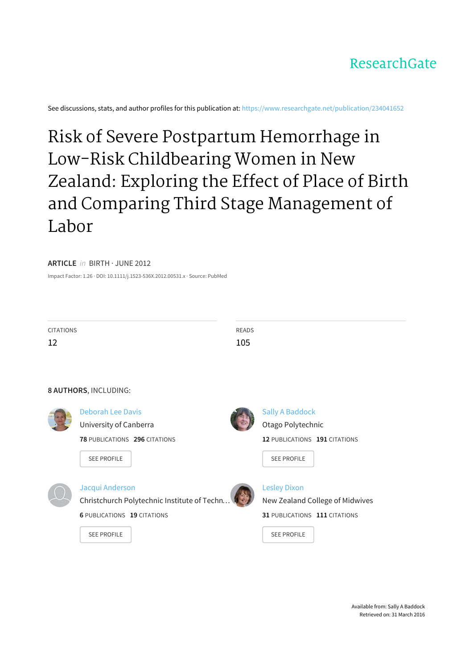# ResearchGate

See discussions, stats, and author profiles for this publication at: https://www.researchgate.net/publication/234041652

# Risk of Severe Postpartum Hemorrhage in Low‐Risk Childbearing Women in New Zealand: Exploring the Effect of Place of Birth and Comparing Third Stage Management of Labor

# **ARTICLE** in BIRTH · JUNE 2012

Impact Factor: 1.26 · DOI: 10.1111/j.1523-536X.2012.00531.x · Source: PubMed

| <b>CITATIONS</b> | <b>READS</b>                                |                                 |  |
|------------------|---------------------------------------------|---------------------------------|--|
| 12               | 105                                         |                                 |  |
|                  |                                             |                                 |  |
|                  |                                             |                                 |  |
|                  | 8 AUTHORS, INCLUDING:                       |                                 |  |
|                  | <b>Deborah Lee Davis</b>                    | <b>Sally A Baddock</b>          |  |
|                  | University of Canberra                      | Otago Polytechnic               |  |
|                  | 78 PUBLICATIONS 296 CITATIONS               | 12 PUBLICATIONS 191 CITATIONS   |  |
|                  | <b>SEE PROFILE</b>                          | <b>SEE PROFILE</b>              |  |
|                  |                                             |                                 |  |
|                  | Jacqui Anderson                             | <b>Lesley Dixon</b>             |  |
|                  | Christchurch Polytechnic Institute of Techn | New Zealand College of Midwives |  |
|                  | <b>6 PUBLICATIONS 19 CITATIONS</b>          | 31 PUBLICATIONS 111 CITATIONS   |  |
|                  | <b>SEE PROFILE</b>                          | <b>SEE PROFILE</b>              |  |
|                  |                                             |                                 |  |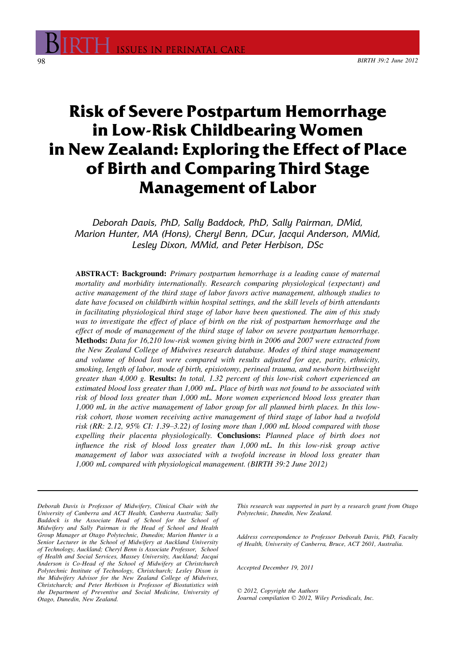# Risk of Severe Postpartum Hemorrhage in Low-Risk Childbearing Women in New Zealand: Exploring the Effect of Place of Birth and Comparing Third Stage Management of Labor

Deborah Davis, PhD, Sally Baddock, PhD, Sally Pairman, DMid, Marion Hunter, MA (Hons), Cheryl Benn, DCur, Jacqui Anderson, MMid, Lesley Dixon, MMid, and Peter Herbison, DSc

ABSTRACT: Background: Primary postpartum hemorrhage is a leading cause of maternal mortality and morbidity internationally. Research comparing physiological (expectant) and active management of the third stage of labor favors active management, although studies to date have focused on childbirth within hospital settings, and the skill levels of birth attendants in facilitating physiological third stage of labor have been questioned. The aim of this study was to investigate the effect of place of birth on the risk of postpartum hemorrhage and the effect of mode of management of the third stage of labor on severe postpartum hemorrhage. Methods: Data for 16,210 low-risk women giving birth in 2006 and 2007 were extracted from the New Zealand College of Midwives research database. Modes of third stage management and volume of blood lost were compared with results adjusted for age, parity, ethnicity, smoking, length of labor, mode of birth, episiotomy, perineal trauma, and newborn birthweight greater than  $4,000$  g. Results: In total, 1.32 percent of this low-risk cohort experienced an estimated blood loss greater than 1,000 mL. Place of birth was not found to be associated with risk of blood loss greater than 1,000 mL. More women experienced blood loss greater than 1,000 mL in the active management of labor group for all planned birth places. In this lowrisk cohort, those women receiving active management of third stage of labor had a twofold risk (RR: 2.12, 95% CI: 1.39–3.22) of losing more than 1,000 mL blood compared with those expelling their placenta physiologically. **Conclusions:** Planned place of birth does not influence the risk of blood loss greater than 1,000 mL. In this low-risk group active management of labor was associated with a twofold increase in blood loss greater than 1,000 mL compared with physiological management. (BIRTH 39:2 June 2012)

Deborah Davis is Professor of Midwifery, Clinical Chair with the University of Canberra and ACT Health, Canberra Australia; Sally Baddock is the Associate Head of School for the School of Midwifery and Sally Pairman is the Head of School and Health Group Manager at Otago Polytechnic, Dunedin; Marion Hunter is a Senior Lecturer in the School of Midwifery at Auckland University of Technology, Auckland; Cheryl Benn is Associate Professor, School of Health and Social Services, Massey University, Auckland; Jacqui Anderson is Co-Head of the School of Midwifery at Christchurch Polytechnic Institute of Technology, Christchurch; Lesley Dixon is the Midwifery Advisor for the New Zealand College of Midwives, Christchurch; and Peter Herbison is Professor of Biostatistics with the Department of Preventive and Social Medicine, University of Otago, Dunedin, New Zealand.

This research was supported in part by a research grant from Otago Polytechnic, Dunedin, New Zealand.

Address correspondence to Professor Deborah Davis, PhD, Faculty of Health, University of Canberra, Bruce, ACT 2601, Australia.

Accepted December 19, 2011

© 2012, Copyright the Authors Journal compilation © 2012, Wiley Periodicals, Inc.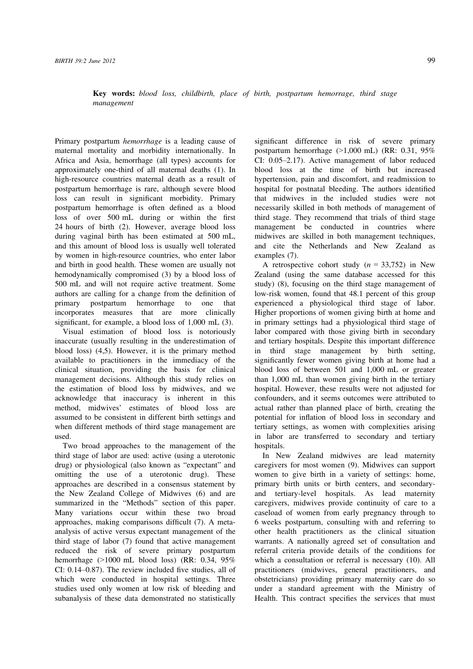## Key words: blood loss, childbirth, place of birth, postpartum hemorrage, third stage management

Primary postpartum hemorrhage is a leading cause of maternal mortality and morbidity internationally. In Africa and Asia, hemorrhage (all types) accounts for approximately one-third of all maternal deaths (1). In high-resource countries maternal death as a result of postpartum hemorrhage is rare, although severe blood loss can result in significant morbidity. Primary postpartum hemorrhage is often defined as a blood loss of over 500 mL during or within the first 24 hours of birth (2). However, average blood loss during vaginal birth has been estimated at 500 mL, and this amount of blood loss is usually well tolerated by women in high-resource countries, who enter labor and birth in good health. These women are usually not hemodynamically compromised (3) by a blood loss of 500 mL and will not require active treatment. Some authors are calling for a change from the definition of primary postpartum hemorrhage to one that incorporates measures that are more clinically significant, for example, a blood loss of 1,000 mL (3).

Visual estimation of blood loss is notoriously inaccurate (usually resulting in the underestimation of blood loss) (4,5). However, it is the primary method available to practitioners in the immediacy of the clinical situation, providing the basis for clinical management decisions. Although this study relies on the estimation of blood loss by midwives, and we acknowledge that inaccuracy is inherent in this method, midwives' estimates of blood loss are assumed to be consistent in different birth settings and when different methods of third stage management are used.

Two broad approaches to the management of the third stage of labor are used: active (using a uterotonic drug) or physiological (also known as "expectant" and omitting the use of a uterotonic drug). These approaches are described in a consensus statement by the New Zealand College of Midwives (6) and are summarized in the "Methods" section of this paper. Many variations occur within these two broad approaches, making comparisons difficult (7). A metaanalysis of active versus expectant management of the third stage of labor (7) found that active management reduced the risk of severe primary postpartum hemorrhage (>1000 mL blood loss) (RR: 0.34, 95% CI: 0.14–0.87). The review included five studies, all of which were conducted in hospital settings. Three studies used only women at low risk of bleeding and subanalysis of these data demonstrated no statistically significant difference in risk of severe primary postpartum hemorrhage (>1,000 mL) (RR: 0.31, 95% CI: 0.05–2.17). Active management of labor reduced blood loss at the time of birth but increased hypertension, pain and discomfort, and readmission to hospital for postnatal bleeding. The authors identified that midwives in the included studies were not necessarily skilled in both methods of management of third stage. They recommend that trials of third stage management be conducted in countries where midwives are skilled in both management techniques, and cite the Netherlands and New Zealand as examples (7).

A retrospective cohort study  $(n = 33,752)$  in New Zealand (using the same database accessed for this study) (8), focusing on the third stage management of low-risk women, found that 48.1 percent of this group experienced a physiological third stage of labor. Higher proportions of women giving birth at home and in primary settings had a physiological third stage of labor compared with those giving birth in secondary and tertiary hospitals. Despite this important difference in third stage management by birth setting, significantly fewer women giving birth at home had a blood loss of between 501 and 1,000 mL or greater than 1,000 mL than women giving birth in the tertiary hospital. However, these results were not adjusted for confounders, and it seems outcomes were attributed to actual rather than planned place of birth, creating the potential for inflation of blood loss in secondary and tertiary settings, as women with complexities arising in labor are transferred to secondary and tertiary hospitals.

In New Zealand midwives are lead maternity caregivers for most women (9). Midwives can support women to give birth in a variety of settings: home, primary birth units or birth centers, and secondaryand tertiary-level hospitals. As lead maternity caregivers, midwives provide continuity of care to a caseload of women from early pregnancy through to 6 weeks postpartum, consulting with and referring to other health practitioners as the clinical situation warrants. A nationally agreed set of consultation and referral criteria provide details of the conditions for which a consultation or referral is necessary (10). All practitioners (midwives, general practitioners, and obstetricians) providing primary maternity care do so under a standard agreement with the Ministry of Health. This contract specifies the services that must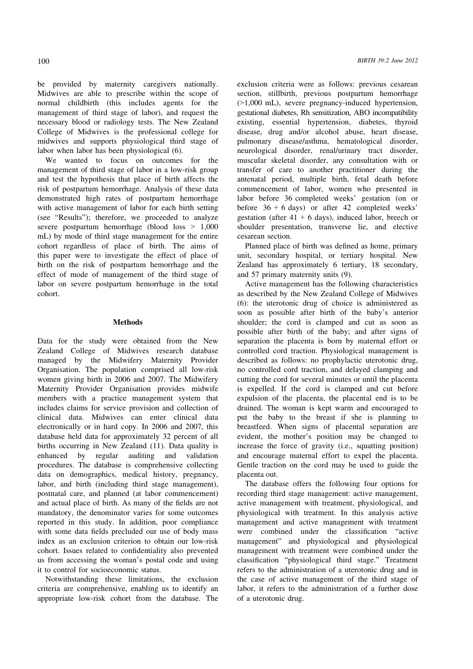be provided by maternity caregivers nationally. Midwives are able to prescribe within the scope of normal childbirth (this includes agents for the management of third stage of labor), and request the necessary blood or radiology tests. The New Zealand College of Midwives is the professional college for midwives and supports physiological third stage of labor when labor has been physiological (6).

We wanted to focus on outcomes for the management of third stage of labor in a low-risk group and test the hypothesis that place of birth affects the risk of postpartum hemorrhage. Analysis of these data demonstrated high rates of postpartum hemorrhage with active management of labor for each birth setting (see "Results"); therefore, we proceeded to analyze severe postpartum hemorrhage (blood loss > 1,000 mL) by mode of third stage management for the entire cohort regardless of place of birth. The aims of this paper were to investigate the effect of place of birth on the risk of postpartum hemorrhage and the effect of mode of management of the third stage of labor on severe postpartum hemorrhage in the total cohort.

### Methods

Data for the study were obtained from the New Zealand College of Midwives research database managed by the Midwifery Maternity Provider Organisation. The population comprised all low-risk women giving birth in 2006 and 2007. The Midwifery Maternity Provider Organisation provides midwife members with a practice management system that includes claims for service provision and collection of clinical data. Midwives can enter clinical data electronically or in hard copy. In 2006 and 2007, this database held data for approximately 32 percent of all births occurring in New Zealand (11). Data quality is enhanced by regular auditing and validation procedures. The database is comprehensive collecting data on demographics, medical history, pregnancy, labor, and birth (including third stage management), postnatal care, and planned (at labor commencement) and actual place of birth. As many of the fields are not mandatory, the denominator varies for some outcomes reported in this study. In addition, poor compliance with some data fields precluded our use of body mass index as an exclusion criterion to obtain our low-risk cohort. Issues related to confidentiality also prevented us from accessing the woman's postal code and using it to control for socioeconomic status.

Notwithstanding these limitations, the exclusion criteria are comprehensive, enabling us to identify an appropriate low-risk cohort from the database. The exclusion criteria were as follows: previous cesarean section, stillbirth, previous postpartum hemorrhage (>1,000 mL), severe pregnancy-induced hypertension, gestational diabetes, Rh sensitization, ABO incompatibility existing, essential hypertension, diabetes, thyroid disease, drug and/or alcohol abuse, heart disease, pulmonary disease/asthma, hematological disorder, neurological disorder, renal/urinary tract disorder, muscular skeletal disorder, any consultation with or transfer of care to another practitioner during the antenatal period, multiple birth, fetal death before commencement of labor, women who presented in labor before 36 completed weeks' gestation (on or before  $36 + 6$  days) or after 42 completed weeks' gestation (after  $41 + 6$  days), induced labor, breech or shoulder presentation, transverse lie, and elective cesarean section.

Planned place of birth was defined as home, primary unit, secondary hospital, or tertiary hospital. New Zealand has approximately 6 tertiary, 18 secondary, and 57 primary maternity units (9).

Active management has the following characteristics as described by the New Zealand College of Midwives (6): the uterotonic drug of choice is administered as soon as possible after birth of the baby's anterior shoulder; the cord is clamped and cut as soon as possible after birth of the baby; and after signs of separation the placenta is born by maternal effort or controlled cord traction. Physiological management is described as follows: no prophylactic uterotonic drug, no controlled cord traction, and delayed clamping and cutting the cord for several minutes or until the placenta is expelled. If the cord is clamped and cut before expulsion of the placenta, the placental end is to be drained. The woman is kept warm and encouraged to put the baby to the breast if she is planning to breastfeed. When signs of placental separation are evident, the mother's position may be changed to increase the force of gravity (i.e., squatting position) and encourage maternal effort to expel the placenta. Gentle traction on the cord may be used to guide the placenta out.

The database offers the following four options for recording third stage management: active management, active management with treatment, physiological, and physiological with treatment. In this analysis active management and active management with treatment were combined under the classification "active management" and physiological and physiological management with treatment were combined under the classification "physiological third stage." Treatment refers to the administration of a uterotonic drug and in the case of active management of the third stage of labor, it refers to the administration of a further dose of a uterotonic drug.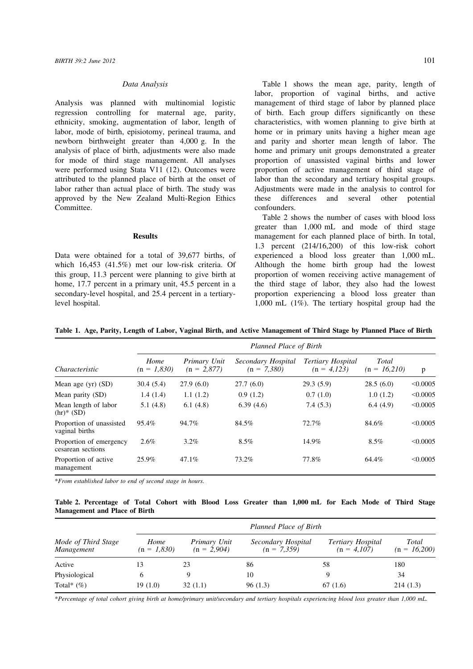#### Data Analysis

Analysis was planned with multinomial logistic regression controlling for maternal age, parity, ethnicity, smoking, augmentation of labor, length of labor, mode of birth, episiotomy, perineal trauma, and newborn birthweight greater than 4,000 g. In the analysis of place of birth, adjustments were also made for mode of third stage management. All analyses were performed using Stata V11 (12). Outcomes were attributed to the planned place of birth at the onset of labor rather than actual place of birth. The study was approved by the New Zealand Multi-Region Ethics Committee.

#### Results

Data were obtained for a total of 39,677 births, of which 16,453 (41.5%) met our low-risk criteria. Of this group, 11.3 percent were planning to give birth at home, 17.7 percent in a primary unit, 45.5 percent in a secondary-level hospital, and 25.4 percent in a tertiarylevel hospital.

Table 1 shows the mean age, parity, length of labor, proportion of vaginal births, and active management of third stage of labor by planned place of birth. Each group differs significantly on these characteristics, with women planning to give birth at home or in primary units having a higher mean age and parity and shorter mean length of labor. The home and primary unit groups demonstrated a greater proportion of unassisted vaginal births and lower proportion of active management of third stage of labor than the secondary and tertiary hospital groups. Adjustments were made in the analysis to control for these differences and several other potential confounders.

Table 2 shows the number of cases with blood loss greater than 1,000 mL and mode of third stage management for each planned place of birth. In total, 1.3 percent (214/16,200) of this low-risk cohort experienced a blood loss greater than 1,000 mL. Although the home birth group had the lowest proportion of women receiving active management of the third stage of labor, they also had the lowest proportion experiencing a blood loss greater than 1,000 mL (1%). The tertiary hospital group had the

Table 1. Age, Parity, Length of Labor, Vaginal Birth, and Active Management of Third Stage by Planned Place of Birth

|                                              | Planned Place of Birth |                               |                                     |                                            |                         |          |
|----------------------------------------------|------------------------|-------------------------------|-------------------------------------|--------------------------------------------|-------------------------|----------|
| Characteristic                               | Home<br>$(n = 1,830)$  | Primary Unit<br>$(n = 2,877)$ | Secondary Hospital<br>$(n = 7,380)$ | <b>Tertiary Hospital</b><br>$(n = 4, 123)$ | Total<br>$(n = 16,210)$ | p        |
| Mean age $(yr)$ $(SD)$                       | 30.4(5.4)              | 27.9(6.0)                     | 27.7(6.0)                           | 29.3(5.9)                                  | 28.5(6.0)               | < 0.0005 |
| Mean parity (SD)                             | 1.4(1.4)               | 1.1(1.2)                      | 0.9(1.2)                            | 0.7(1.0)                                   | 1.0(1.2)                | < 0.0005 |
| Mean length of labor<br>$\text{(hr)}^*$ (SD) | 5.1(4.8)               | 6.1(4.8)                      | 6.39(4.6)                           | 7.4(5.3)                                   | 6.4(4.9)                | < 0.0005 |
| Proportion of unassisted<br>vaginal births   | 95.4%                  | 94.7%                         | 84.5%                               | 72.7%                                      | 84.6%                   | < 0.0005 |
| Proportion of emergency<br>cesarean sections | 2.6%                   | $3.2\%$                       | $8.5\%$                             | 14.9%                                      | $8.5\%$                 | < 0.0005 |
| Proportion of active<br>management           | 25.9%                  | 47.1%                         | 73.2%                               | 77.8%                                      | 64.4%                   | < 0.0005 |

\*From established labor to end of second stage in hours.

Table 2. Percentage of Total Cohort with Blood Loss Greater than 1,000 mL for Each Mode of Third Stage Management and Place of Birth

|                                   | Planned Place of Birth |                               |                                     |                                    |                         |  |
|-----------------------------------|------------------------|-------------------------------|-------------------------------------|------------------------------------|-------------------------|--|
| Mode of Third Stage<br>Management | Home<br>$(n = 1,830)$  | Primary Unit<br>$(n = 2.904)$ | Secondary Hospital<br>$(n = 7,359)$ | Tertiary Hospital<br>$(n = 4.107)$ | Total<br>$(n = 16,200)$ |  |
| Active                            |                        | 23                            | 86                                  | 58                                 | 180                     |  |
| Physiological                     | h                      | 9                             | 10                                  |                                    | 34                      |  |
| Total* $(\%)$                     | 19(1.0)                | 32(1.1)                       | 96(1.3)                             | 67(1.6)                            | 214(1.3)                |  |

\*Percentage of total cohort giving birth at home/primary unit/secondary and tertiary hospitals experiencing blood loss greater than 1,000 mL.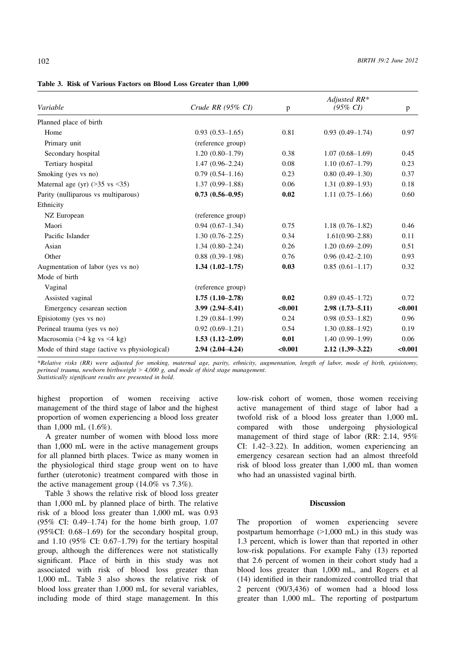| Variable                                      | Crude RR $(95\% \text{ CI})$ | $\mathbf{p}$ | Adjusted $RR*$<br>$(95\% \; CI)$ | $\mathbf{p}$ |  |
|-----------------------------------------------|------------------------------|--------------|----------------------------------|--------------|--|
| Planned place of birth                        |                              |              |                                  |              |  |
| Home                                          | $0.93(0.53-1.65)$            | 0.81         | $0.93(0.49-1.74)$                | 0.97         |  |
| Primary unit                                  | (reference group)            |              |                                  |              |  |
| Secondary hospital                            | $1.20(0.80-1.79)$            | 0.38         | $1.07(0.68-1.69)$                | 0.45         |  |
| Tertiary hospital                             | $1.47(0.96 - 2.24)$          | 0.08         | $1.10(0.67-1.79)$                | 0.23         |  |
| Smoking (yes vs no)                           | $0.79(0.54 - 1.16)$          | 0.23         | $0.80(0.49-1.30)$                | 0.37         |  |
| Maternal age (yr) $(>35$ vs $<35$ )           | $1.37(0.99-1.88)$            | 0.06         | $1.31(0.89-1.93)$                | 0.18         |  |
| Parity (nulliparous vs multiparous)           | $0.73(0.56 - 0.95)$          | 0.02         | $1.11(0.75-1.66)$                | 0.60         |  |
| Ethnicity                                     |                              |              |                                  |              |  |
| NZ European                                   | (reference group)            |              |                                  |              |  |
| Maori                                         | $0.94(0.67-1.34)$            | 0.75         | $1.18(0.76 - 1.82)$              | 0.46         |  |
| Pacific Islander                              | $1.30(0.76 - 2.25)$          | 0.34         | $1.61(0.90 - 2.88)$              | 0.11         |  |
| Asian                                         | $1.34(0.80 - 2.24)$          | 0.26         | $1.20(0.69-2.09)$                | 0.51         |  |
| Other                                         | $0.88(0.39-1.98)$            | 0.76         | $0.96(0.42 - 2.10)$              | 0.93         |  |
| Augmentation of labor (yes vs no)             | $1.34(1.02 - 1.75)$          | 0.03         | $0.85(0.61 - 1.17)$              | 0.32         |  |
| Mode of birth                                 |                              |              |                                  |              |  |
| Vaginal                                       | (reference group)            |              |                                  |              |  |
| Assisted vaginal                              | $1.75(1.10-2.78)$            | 0.02         | $0.89(0.45 - 1.72)$              | 0.72         |  |
| Emergency cesarean section                    | $3.99(2.94 - 5.41)$          | < 0.001      | $2.98(1.73 - 5.11)$              | < 0.001      |  |
| Episiotomy (yes vs no)                        | $1.29(0.84 - 1.99)$          | 0.24         | $0.98(0.53-1.82)$                | 0.96         |  |
| Perineal trauma (yes vs no)                   | $0.92(0.69-1.21)$            | 0.54         | $1.30(0.88-1.92)$                | 0.19         |  |
| Macrosomia (>4 kg vs <4 kg)                   | $1.53(1.12-2.09)$            | 0.01         | $1.40(0.99-1.99)$                | 0.06         |  |
| Mode of third stage (active vs physiological) | $2.94(2.04 - 4.24)$          | < 0.001      | $2.12(1.39-3.22)$                | < 0.001      |  |

Table 3. Risk of Various Factors on Blood Loss Greater than 1,000

\*Relative risks (RR) were adjusted for smoking, maternal age, parity, ethnicity, augmentation, length of labor, mode of birth, episiotomy, perineal trauma, newborn birthweight > 4,000 g, and mode of third stage management. Statistically significant results are presented in bold.

highest proportion of women receiving active management of the third stage of labor and the highest proportion of women experiencing a blood loss greater than 1,000 mL (1.6%).

A greater number of women with blood loss more than 1,000 mL were in the active management groups for all planned birth places. Twice as many women in the physiological third stage group went on to have further (uterotonic) treatment compared with those in the active management group (14.0% vs 7.3%).

Table 3 shows the relative risk of blood loss greater than 1,000 mL by planned place of birth. The relative risk of a blood loss greater than 1,000 mL was 0.93 (95% CI: 0.49–1.74) for the home birth group, 1.07 (95%CI: 0.68–1.69) for the secondary hospital group, and  $1.10$  (95% CI: 0.67–1.79) for the tertiary hospital group, although the differences were not statistically significant. Place of birth in this study was not associated with risk of blood loss greater than 1,000 mL. Table 3 also shows the relative risk of blood loss greater than 1,000 mL for several variables, including mode of third stage management. In this low-risk cohort of women, those women receiving active management of third stage of labor had a twofold risk of a blood loss greater than 1,000 mL compared with those undergoing physiological management of third stage of labor (RR: 2.14, 95% CI: 1.42–3.22). In addition, women experiencing an emergency cesarean section had an almost threefold risk of blood loss greater than 1,000 mL than women who had an unassisted vaginal birth.

### Discussion

The proportion of women experiencing severe postpartum hemorrhage  $(>1,000$  mL) in this study was 1.3 percent, which is lower than that reported in other low-risk populations. For example Fahy (13) reported that 2.6 percent of women in their cohort study had a blood loss greater than 1,000 mL, and Rogers et al (14) identified in their randomized controlled trial that 2 percent (90/3,436) of women had a blood loss greater than 1,000 mL. The reporting of postpartum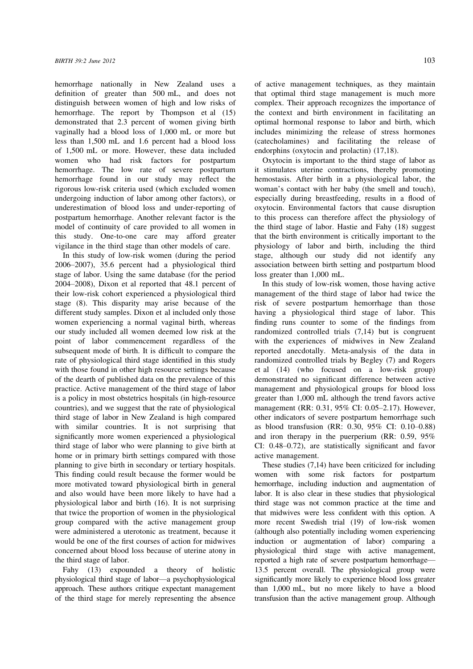hemorrhage nationally in New Zealand uses a definition of greater than 500 mL, and does not distinguish between women of high and low risks of hemorrhage. The report by Thompson et al (15) demonstrated that 2.3 percent of women giving birth vaginally had a blood loss of 1,000 mL or more but less than 1,500 mL and 1.6 percent had a blood loss of 1,500 mL or more. However, these data included women who had risk factors for postpartum hemorrhage. The low rate of severe postpartum hemorrhage found in our study may reflect the rigorous low-risk criteria used (which excluded women undergoing induction of labor among other factors), or underestimation of blood loss and under-reporting of postpartum hemorrhage. Another relevant factor is the model of continuity of care provided to all women in this study. One-to-one care may afford greater vigilance in the third stage than other models of care.

In this study of low-risk women (during the period 2006–2007), 35.6 percent had a physiological third stage of labor. Using the same database (for the period 2004–2008), Dixon et al reported that 48.1 percent of their low-risk cohort experienced a physiological third stage (8). This disparity may arise because of the different study samples. Dixon et al included only those women experiencing a normal vaginal birth, whereas our study included all women deemed low risk at the point of labor commencement regardless of the subsequent mode of birth. It is difficult to compare the rate of physiological third stage identified in this study with those found in other high resource settings because of the dearth of published data on the prevalence of this practice. Active management of the third stage of labor is a policy in most obstetrics hospitals (in high-resource countries), and we suggest that the rate of physiological third stage of labor in New Zealand is high compared with similar countries. It is not surprising that significantly more women experienced a physiological third stage of labor who were planning to give birth at home or in primary birth settings compared with those planning to give birth in secondary or tertiary hospitals. This finding could result because the former would be more motivated toward physiological birth in general and also would have been more likely to have had a physiological labor and birth (16). It is not surprising that twice the proportion of women in the physiological group compared with the active management group were administered a uterotonic as treatment, because it would be one of the first courses of action for midwives concerned about blood loss because of uterine atony in the third stage of labor.

Fahy (13) expounded a theory of holistic physiological third stage of labor—a psychophysiological approach. These authors critique expectant management of the third stage for merely representing the absence of active management techniques, as they maintain that optimal third stage management is much more complex. Their approach recognizes the importance of the context and birth environment in facilitating an optimal hormonal response to labor and birth, which includes minimizing the release of stress hormones (catecholamines) and facilitating the release of endorphins (oxytocin and prolactin) (17,18).

Oxytocin is important to the third stage of labor as it stimulates uterine contractions, thereby promoting hemostasis. After birth in a physiological labor, the woman's contact with her baby (the smell and touch), especially during breastfeeding, results in a flood of oxytocin. Environmental factors that cause disruption to this process can therefore affect the physiology of the third stage of labor. Hastie and Fahy (18) suggest that the birth environment is critically important to the physiology of labor and birth, including the third stage, although our study did not identify any association between birth setting and postpartum blood loss greater than 1,000 mL.

In this study of low-risk women, those having active management of the third stage of labor had twice the risk of severe postpartum hemorrhage than those having a physiological third stage of labor. This finding runs counter to some of the findings from randomized controlled trials (7,14) but is congruent with the experiences of midwives in New Zealand reported anecdotally. Meta-analysis of the data in randomized controlled trials by Begley (7) and Rogers et al (14) (who focused on a low-risk group) demonstrated no significant difference between active management and physiological groups for blood loss greater than 1,000 mL although the trend favors active management (RR: 0.31, 95% CI: 0.05–2.17). However, other indicators of severe postpartum hemorrhage such as blood transfusion (RR: 0.30, 95% CI: 0.10–0.88) and iron therapy in the puerperium (RR: 0.59, 95% CI: 0.48–0.72), are statistically significant and favor active management.

These studies (7,14) have been criticized for including women with some risk factors for postpartum hemorrhage, including induction and augmentation of labor. It is also clear in these studies that physiological third stage was not common practice at the time and that midwives were less confident with this option. A more recent Swedish trial (19) of low-risk women (although also potentially including women experiencing induction or augmentation of labor) comparing a physiological third stage with active management, reported a high rate of severe postpartum hemorrhage— 13.5 percent overall. The physiological group were significantly more likely to experience blood loss greater than 1,000 mL, but no more likely to have a blood transfusion than the active management group. Although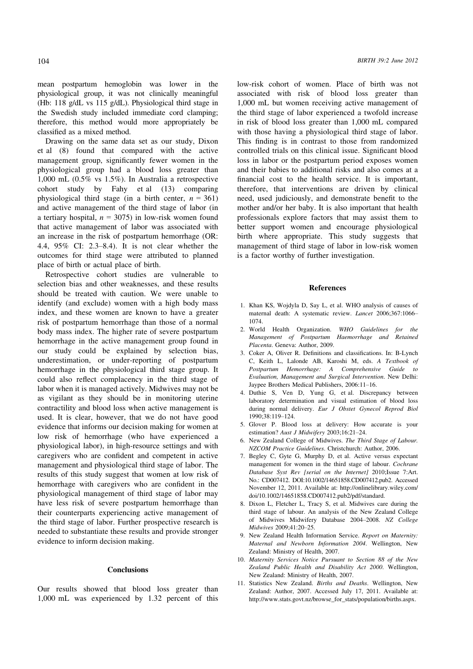mean postpartum hemoglobin was lower in the physiological group, it was not clinically meaningful (Hb: 118 g/dL vs 115 g/dL). Physiological third stage in the Swedish study included immediate cord clamping; therefore, this method would more appropriately be classified as a mixed method.

Drawing on the same data set as our study, Dixon et al (8) found that compared with the active management group, significantly fewer women in the physiological group had a blood loss greater than 1,000 mL (0.5% vs 1.5%). In Australia a retrospective cohort study by Fahy et al (13) comparing physiological third stage (in a birth center,  $n = 361$ ) and active management of the third stage of labor (in a tertiary hospital,  $n = 3075$ ) in low-risk women found that active management of labor was associated with an increase in the risk of postpartum hemorrhage (OR: 4.4, 95% CI: 2.3–8.4). It is not clear whether the outcomes for third stage were attributed to planned place of birth or actual place of birth.

Retrospective cohort studies are vulnerable to selection bias and other weaknesses, and these results should be treated with caution. We were unable to identify (and exclude) women with a high body mass index, and these women are known to have a greater risk of postpartum hemorrhage than those of a normal body mass index. The higher rate of severe postpartum hemorrhage in the active management group found in our study could be explained by selection bias, underestimation, or under-reporting of postpartum hemorrhage in the physiological third stage group. It could also reflect complacency in the third stage of labor when it is managed actively. Midwives may not be as vigilant as they should be in monitoring uterine contractility and blood loss when active management is used. It is clear, however, that we do not have good evidence that informs our decision making for women at low risk of hemorrhage (who have experienced a physiological labor), in high-resource settings and with caregivers who are confident and competent in active management and physiological third stage of labor. The results of this study suggest that women at low risk of hemorrhage with caregivers who are confident in the physiological management of third stage of labor may have less risk of severe postpartum hemorrhage than their counterparts experiencing active management of the third stage of labor. Further prospective research is needed to substantiate these results and provide stronger evidence to inform decision making.

#### **Conclusions**

Our results showed that blood loss greater than 1,000 mL was experienced by 1.32 percent of this low-risk cohort of women. Place of birth was not associated with risk of blood loss greater than 1,000 mL but women receiving active management of the third stage of labor experienced a twofold increase in risk of blood loss greater than 1,000 mL compared with those having a physiological third stage of labor. This finding is in contrast to those from randomized controlled trials on this clinical issue. Significant blood loss in labor or the postpartum period exposes women and their babies to additional risks and also comes at a financial cost to the health service. It is important, therefore, that interventions are driven by clinical need, used judiciously, and demonstrate benefit to the mother and/or her baby. It is also important that health professionals explore factors that may assist them to better support women and encourage physiological birth where appropriate. This study suggests that management of third stage of labor in low-risk women is a factor worthy of further investigation.

#### References

- 1. Khan KS, Wojdyla D, Say L, et al. WHO analysis of causes of maternal death: A systematic review. Lancet 2006;367:1066– 1074.
- 2. World Health Organization. WHO Guidelines for the Management of Postpartum Haemorrhage and Retained Placenta. Geneva: Author, 2009.
- 3. Coker A, Oliver R. Definitions and classifications. In: B-Lynch C, Keith L, Lalonde AB, Karoshi M, eds. A Textbook of Postpartum Hemorrhage: A Comprehensive Guide to Evaluation, Management and Surgical Intervention. New Delhi: Jaypee Brothers Medical Publishers, 2006:11–16.
- 4. Duthie S, Ven D, Yung G, et al. Discrepancy between laboratory determination and visual estimation of blood loss during normal delivery. Eur J Obstet Gynecol Reprod Biol 1990;38:119–124.
- 5. Glover P. Blood loss at delivery: How accurate is your estimation? Aust J Midwifery 2003;16:21–24.
- 6. New Zealand College of Midwives. The Third Stage of Labour. NZCOM Practice Guidelines. Christchurch: Author, 2006.
- 7. Begley C, Gyte G, Murphy D, et al. Active versus expectant management for women in the third stage of labour. Cochrane Database Syst Rev [serial on the Internet] 2010;Issue 7:Art. No.: CD007412. DOI:10.1002/14651858.CD007412.pub2. Accessed November 12, 2011. Available at: http://onlinelibrary.wiley.com/ doi/10.1002/14651858.CD007412.pub2/pdf/standard.
- 8. Dixon L, Fletcher L, Tracy S, et al. Midwives care during the third stage of labour. An analysis of the New Zealand College of Midwives Midwifery Database 2004–2008. NZ College Midwives 2009;41:20–25.
- 9. New Zealand Health Information Service. Report on Maternity: Maternal and Newborn Information 2004. Wellington, New Zealand: Ministry of Health, 2007.
- 10. Maternity Services Notice Pursuant to Section 88 of the New Zealand Public Health and Disability Act 2000. Wellington, New Zealand: Ministry of Health, 2007.
- 11. Statistics New Zealand. Births and Deaths. Wellington, New Zealand: Author, 2007. Accessed July 17, 2011. Available at: http://www.stats.govt.nz/browse\_for\_stats/population/births.aspx.